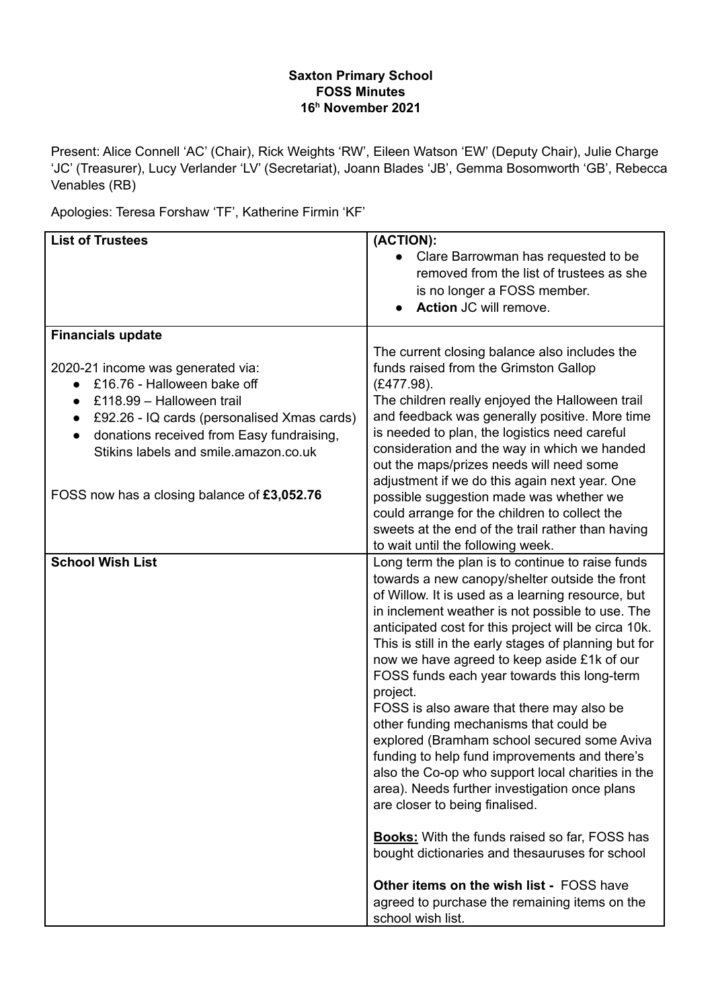## **Saxton Primary School FOSS Minutes 16 <sup>h</sup> November 2021**

Present: Alice Connell 'AC' (Chair), Rick Weights 'RW', Eileen Watson 'EW' (Deputy Chair), Julie Charge 'JC' (Treasurer), Lucy Verlander 'LV' (Secretariat), Joann Blades 'JB', Gemma Bosomworth 'GB', Rebecca Venables (RB)

Apologies: Teresa Forshaw 'TF', Katherine Firmin 'KF'

| <b>List of Trustees</b>                                                                                                                                                                                                                                                           | (ACTION):<br>Clare Barrowman has requested to be<br>removed from the list of trustees as she<br>is no longer a FOSS member.<br>Action JC will remove.                                                                                                                                                                                                                                                                                                                                                                                                                                                                                                                                                                                                                                                                                                                                                                                                                                             |
|-----------------------------------------------------------------------------------------------------------------------------------------------------------------------------------------------------------------------------------------------------------------------------------|---------------------------------------------------------------------------------------------------------------------------------------------------------------------------------------------------------------------------------------------------------------------------------------------------------------------------------------------------------------------------------------------------------------------------------------------------------------------------------------------------------------------------------------------------------------------------------------------------------------------------------------------------------------------------------------------------------------------------------------------------------------------------------------------------------------------------------------------------------------------------------------------------------------------------------------------------------------------------------------------------|
| <b>Financials update</b>                                                                                                                                                                                                                                                          |                                                                                                                                                                                                                                                                                                                                                                                                                                                                                                                                                                                                                                                                                                                                                                                                                                                                                                                                                                                                   |
| 2020-21 income was generated via:<br>£16.76 - Halloween bake off<br>£118.99 - Halloween trail<br>£92.26 - IQ cards (personalised Xmas cards)<br>donations received from Easy fundraising,<br>Stikins labels and smile.amazon.co.uk<br>FOSS now has a closing balance of £3,052.76 | The current closing balance also includes the<br>funds raised from the Grimston Gallop<br>$(E477.98)$ .<br>The children really enjoyed the Halloween trail<br>and feedback was generally positive. More time<br>is needed to plan, the logistics need careful<br>consideration and the way in which we handed<br>out the maps/prizes needs will need some<br>adjustment if we do this again next year. One<br>possible suggestion made was whether we                                                                                                                                                                                                                                                                                                                                                                                                                                                                                                                                             |
|                                                                                                                                                                                                                                                                                   | could arrange for the children to collect the                                                                                                                                                                                                                                                                                                                                                                                                                                                                                                                                                                                                                                                                                                                                                                                                                                                                                                                                                     |
|                                                                                                                                                                                                                                                                                   | sweets at the end of the trail rather than having                                                                                                                                                                                                                                                                                                                                                                                                                                                                                                                                                                                                                                                                                                                                                                                                                                                                                                                                                 |
|                                                                                                                                                                                                                                                                                   | to wait until the following week.                                                                                                                                                                                                                                                                                                                                                                                                                                                                                                                                                                                                                                                                                                                                                                                                                                                                                                                                                                 |
| <b>School Wish List</b>                                                                                                                                                                                                                                                           | Long term the plan is to continue to raise funds<br>towards a new canopy/shelter outside the front<br>of Willow. It is used as a learning resource, but<br>in inclement weather is not possible to use. The<br>anticipated cost for this project will be circa 10k.<br>This is still in the early stages of planning but for<br>now we have agreed to keep aside £1k of our<br>FOSS funds each year towards this long-term<br>project.<br>FOSS is also aware that there may also be<br>other funding mechanisms that could be<br>explored (Bramham school secured some Aviva<br>funding to help fund improvements and there's<br>also the Co-op who support local charities in the<br>area). Needs further investigation once plans<br>are closer to being finalised.<br><b>Books:</b> With the funds raised so far, FOSS has<br>bought dictionaries and thesauruses for school<br>Other items on the wish list - FOSS have<br>agreed to purchase the remaining items on the<br>school wish list. |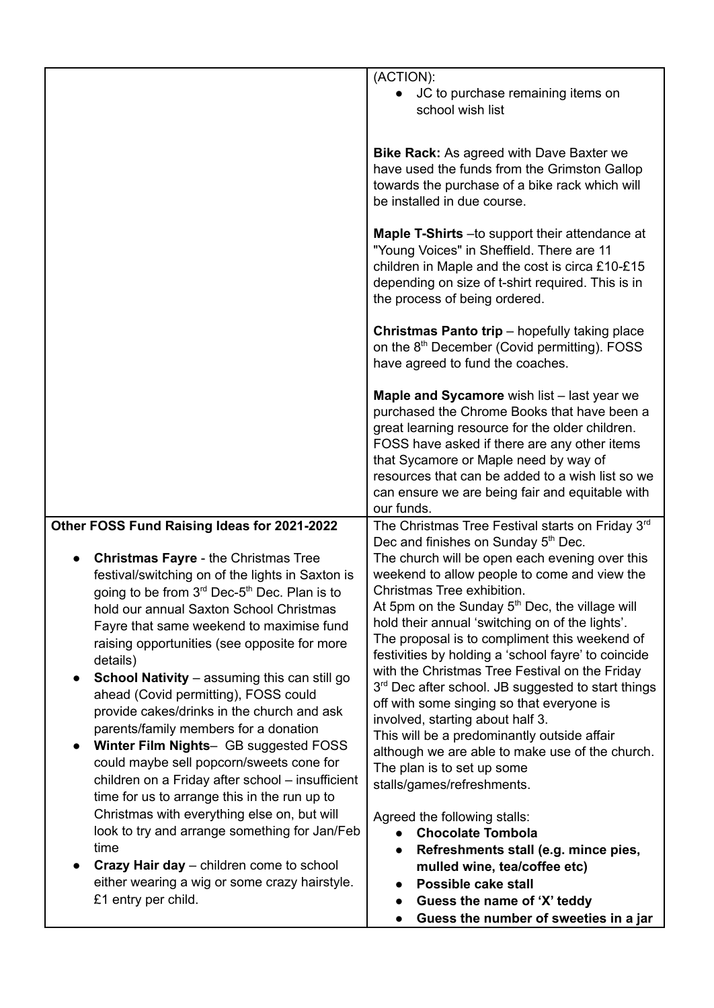|                                                                                              | (ACTION):<br>JC to purchase remaining items on<br>school wish list                                                                                                                                                                                                                                                                                          |
|----------------------------------------------------------------------------------------------|-------------------------------------------------------------------------------------------------------------------------------------------------------------------------------------------------------------------------------------------------------------------------------------------------------------------------------------------------------------|
|                                                                                              | <b>Bike Rack: As agreed with Dave Baxter we</b><br>have used the funds from the Grimston Gallop<br>towards the purchase of a bike rack which will<br>be installed in due course.                                                                                                                                                                            |
|                                                                                              | <b>Maple T-Shirts</b> - to support their attendance at<br>"Young Voices" in Sheffield. There are 11<br>children in Maple and the cost is circa £10-£15<br>depending on size of t-shirt required. This is in<br>the process of being ordered.                                                                                                                |
|                                                                                              | Christmas Panto trip - hopefully taking place<br>on the 8 <sup>th</sup> December (Covid permitting). FOSS<br>have agreed to fund the coaches.                                                                                                                                                                                                               |
|                                                                                              | Maple and Sycamore wish list - last year we<br>purchased the Chrome Books that have been a<br>great learning resource for the older children.<br>FOSS have asked if there are any other items<br>that Sycamore or Maple need by way of<br>resources that can be added to a wish list so we<br>can ensure we are being fair and equitable with<br>our funds. |
| Other FOSS Fund Raising Ideas for 2021-2022                                                  | The Christmas Tree Festival starts on Friday 3 <sup>rd</sup>                                                                                                                                                                                                                                                                                                |
|                                                                                              | Dec and finishes on Sunday 5 <sup>th</sup> Dec.                                                                                                                                                                                                                                                                                                             |
| <b>Christmas Fayre - the Christmas Tree</b>                                                  | The church will be open each evening over this                                                                                                                                                                                                                                                                                                              |
| festival/switching on of the lights in Saxton is                                             | weekend to allow people to come and view the                                                                                                                                                                                                                                                                                                                |
| going to be from 3 <sup>rd</sup> Dec-5 <sup>th</sup> Dec. Plan is to                         | Christmas Tree exhibition.                                                                                                                                                                                                                                                                                                                                  |
| hold our annual Saxton School Christmas                                                      | At 5pm on the Sunday 5 <sup>th</sup> Dec, the village will                                                                                                                                                                                                                                                                                                  |
| Fayre that same weekend to maximise fund                                                     | hold their annual 'switching on of the lights'.<br>The proposal is to compliment this weekend of                                                                                                                                                                                                                                                            |
| raising opportunities (see opposite for more                                                 | festivities by holding a 'school fayre' to coincide                                                                                                                                                                                                                                                                                                         |
| details)                                                                                     | with the Christmas Tree Festival on the Friday                                                                                                                                                                                                                                                                                                              |
| School Nativity - assuming this can still go<br>ahead (Covid permitting), FOSS could         | 3 <sup>rd</sup> Dec after school. JB suggested to start things                                                                                                                                                                                                                                                                                              |
| provide cakes/drinks in the church and ask                                                   | off with some singing so that everyone is                                                                                                                                                                                                                                                                                                                   |
| parents/family members for a donation                                                        | involved, starting about half 3.                                                                                                                                                                                                                                                                                                                            |
| Winter Film Nights- GB suggested FOSS                                                        | This will be a predominantly outside affair<br>although we are able to make use of the church.                                                                                                                                                                                                                                                              |
| could maybe sell popcorn/sweets cone for                                                     | The plan is to set up some                                                                                                                                                                                                                                                                                                                                  |
| children on a Friday after school - insufficient                                             | stalls/games/refreshments.                                                                                                                                                                                                                                                                                                                                  |
| time for us to arrange this in the run up to                                                 |                                                                                                                                                                                                                                                                                                                                                             |
| Christmas with everything else on, but will<br>look to try and arrange something for Jan/Feb | Agreed the following stalls:                                                                                                                                                                                                                                                                                                                                |
| time                                                                                         | <b>Chocolate Tombola</b><br>Refreshments stall (e.g. mince pies,                                                                                                                                                                                                                                                                                            |
| <b>Crazy Hair day</b> – children come to school                                              | mulled wine, tea/coffee etc)                                                                                                                                                                                                                                                                                                                                |
| either wearing a wig or some crazy hairstyle.                                                | Possible cake stall<br>$\bullet$                                                                                                                                                                                                                                                                                                                            |
| £1 entry per child.                                                                          | Guess the name of 'X' teddy<br>$\bullet$                                                                                                                                                                                                                                                                                                                    |
|                                                                                              | Guess the number of sweeties in a jar                                                                                                                                                                                                                                                                                                                       |